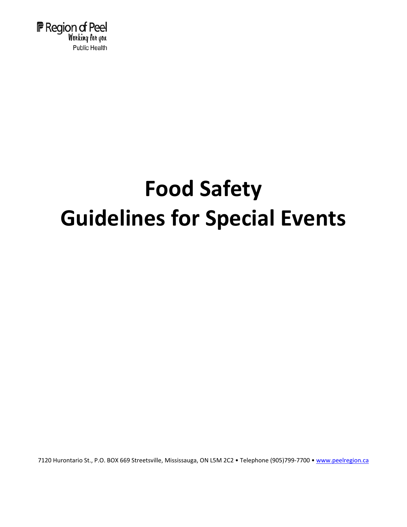

# **Food Safety Guidelines for Special Events**

7120 Hurontario St., P.O. BOX 669 Streetsville, Mississauga, ON L5M 2C2 · Telephone (905)799-7700 · [www.peelregion.ca](http://www.peelregion.ca/)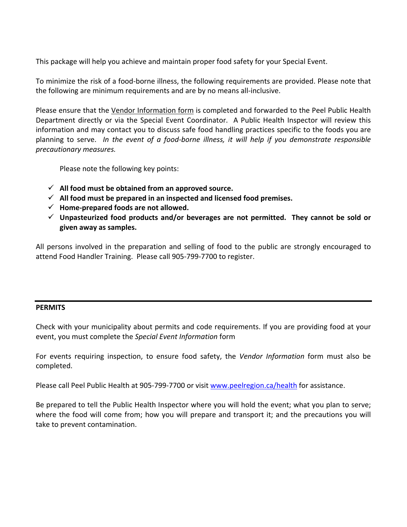This package will help you achieve and maintain proper food safety for your Special Event.

To minimize the risk of a food‐borne illness, the following requirements are provided. Please note that the following are minimum requirements and are by no means all‐inclusive.

Please ensure that the Vendor Information form is completed and forwarded to the Peel Public Health Department directly or via the Special Event Coordinator. A Public Health Inspector will review this information and may contact you to discuss safe food handling practices specific to the foods you are planning to serve. *In the event of a food‐borne illness, it will help if you demonstrate responsible precautionary measures.*

Please note the following key points:

- $\checkmark$  All food must be obtained from an approved source.
- **All food must be prepared in an inspected and licensed food premises.**
- $\checkmark$  Home-prepared foods are not allowed.
- **Unpasteurized food products and/or beverages are not permitted. They cannot be sold or given away as samples.**

All persons involved in the preparation and selling of food to the public are strongly encouraged to attend Food Handler Training. Please call 905‐799‐7700 to register.

#### **PERMITS**

Check with your municipality about permits and code requirements. If you are providing food at your event, you must complete the *Special Event Information* form

For events requiring inspection, to ensure food safety, the *Vendor Information* form must also be completed.

Please call Peel Public Health at 905-799-7700 or visit [www.peelregion.ca/health](http://www.peelregion.ca/health) for assistance.

Be prepared to tell the Public Health Inspector where you will hold the event; what you plan to serve; where the food will come from; how you will prepare and transport it; and the precautions you will take to prevent contamination.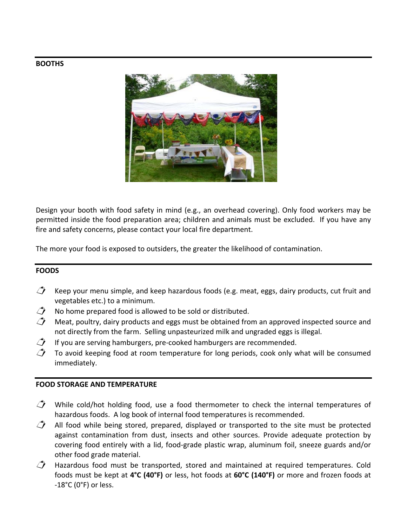#### **BOOTHS**



Design your booth with food safety in mind (e.g., an overhead covering). Only food workers may be permitted inside the food preparation area; children and animals must be excluded. If you have any fire and safety concerns, please contact your local fire department.

The more your food is exposed to outsiders, the greater the likelihood of contamination.

#### **FOODS**

- $\hat{\mathcal{J}}$  Keep your menu simple, and keep hazardous foods (e.g. meat, eggs, dairy products, cut fruit and vegetables etc.) to a minimum.
- $\hat{\mathcal{J}}$  No home prepared food is allowed to be sold or distributed.
- $\hat{\mathcal{J}}$  Meat, poultry, dairy products and eggs must be obtained from an approved inspected source and not directly from the farm. Selling unpasteurized milk and ungraded eggs is illegal.
- $\mathbb{Z}$  If you are serving hamburgers, pre-cooked hamburgers are recommended.
- $\hat{\mathcal{J}}$  To avoid keeping food at room temperature for long periods, cook only what will be consumed immediately.

#### **FOOD STORAGE AND TEMPERATURE**

- $\mathcal{J}$  While cold/hot holding food, use a food thermometer to check the internal temperatures of hazardous foods. A log book of internal food temperatures is recommended.
- $\hat{\mathcal{J}}$  All food while being stored, prepared, displayed or transported to the site must be protected against contamination from dust, insects and other sources. Provide adequate protection by covering food entirely with a lid, food‐grade plastic wrap, aluminum foil, sneeze guards and/or other food grade material.
- $\hat{\mathcal{J}}$  Hazardous food must be transported, stored and maintained at required temperatures. Cold foods must be kept at **4°C (40°F)** or less, hot foods at **60°C (140°F)** or more and frozen foods at  $-18^{\circ}$ C (0 $^{\circ}$ F) or less.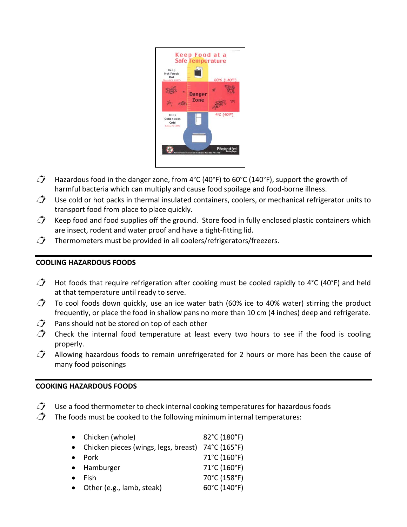

- $\hat{\mathcal{J}}$  Hazardous food in the danger zone, from 4°C (40°F) to 60°C (140°F), support the growth of harmful bacteria which can multiply and cause food spoilage and food‐borne illness.
- $\hat{\bigcup}$  Use cold or hot packs in thermal insulated containers, coolers, or mechanical refrigerator units to transport food from place to place quickly.
- $\overrightarrow{C}$  Keep food and food supplies off the ground. Store food in fully enclosed plastic containers which are insect, rodent and water proof and have a tight‐fitting lid.
- $\mathcal{L}$  Thermometers must be provided in all coolers/refrigerators/freezers.

#### **COOLING HAZARDOUS FOODS**

- $\hat{\mathcal{J}}$  Hot foods that require refrigeration after cooking must be cooled rapidly to 4°C (40°F) and held at that temperature until ready to serve.
- $\hat{\mathcal{J}}$  To cool foods down quickly, use an ice water bath (60% ice to 40% water) stirring the product frequently, or place the food in shallow pans no more than 10 cm (4 inches) deep and refrigerate.
- $\vec{P}$  Pans should not be stored on top of each other
- $\hat{\mathcal{L}}$  Check the internal food temperature at least every two hours to see if the food is cooling properly.
- $\hat{\mathcal{J}}$  Allowing hazardous foods to remain unrefrigerated for 2 hours or more has been the cause of many food poisonings

#### **COOKING HAZARDOUS FOODS**

- $\mathbb{C}$  Use a food thermometer to check internal cooking temperatures for hazardous foods
- $\hat{\mathcal{J}}$  The foods must be cooked to the following minimum internal temperatures:

|           | • Chicken (whole)                                   | 82°C (180°F) |
|-----------|-----------------------------------------------------|--------------|
|           | • Chicken pieces (wings, legs, breast) 74°C (165°F) |              |
| $\bullet$ | Pork                                                | 71°C (160°F) |
|           | • Hamburger                                         | 71°C (160°F) |
| $\bullet$ | Fish                                                | 70°C (158°F) |
|           | Other (e.g., lamb, steak)                           | 60°C (140°F) |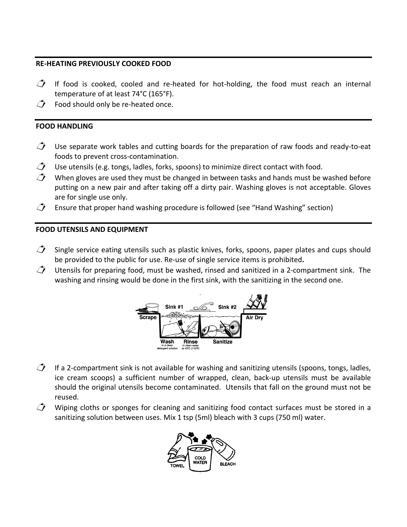#### **RE‐HEATING PREVIOUSLY COOKED FOOD**

- $\mathcal{I}$  If food is cooked, cooled and re-heated for hot-holding, the food must reach an internal temperature of at least 74°C (165°F).
- $\mathcal{D}$  Food should only be re-heated once.

#### **FOOD HANDLING**

- $\hat{\mathcal{J}}$  Use separate work tables and cutting boards for the preparation of raw foods and ready-to-eat foods to prevent cross‐contamination.
- $\mathbb{Z}$  Use utensils (e.g. tongs, ladles, forks, spoons) to minimize direct contact with food.
- $\hat{\mathcal{L}}$  When gloves are used they must be changed in between tasks and hands must be washed before putting on a new pair and after taking off a dirty pair. Washing gloves is not acceptable. Gloves are for single use only.
- $\mathcal{D}$  Ensure that proper hand washing procedure is followed (see "Hand Washing" section)

#### **FOOD UTENSILS AND EQUIPMENT**

- $\hat{\mathcal{J}}$  Single service eating utensils such as plastic knives, forks, spoons, paper plates and cups should be provided to the public for use. Re‐use of single service items is prohibited**.**
- $\hat{\mathcal{L}}$  Utensils for preparing food, must be washed, rinsed and sanitized in a 2-compartment sink. The washing and rinsing would be done in the first sink, with the sanitizing in the second one.



- $\hat{\mathcal{J}}$  If a 2-compartment sink is not available for washing and sanitizing utensils (spoons, tongs, ladles, ice cream scoops) a sufficient number of wrapped, clean, back‐up utensils must be available should the original utensils become contaminated. Utensils that fall on the ground must not be reused.
- $\hat{\mathcal{J}}$  Wiping cloths or sponges for cleaning and sanitizing food contact surfaces must be stored in a sanitizing solution between uses. Mix 1 tsp (5ml) bleach with 3 cups (750 ml) water.

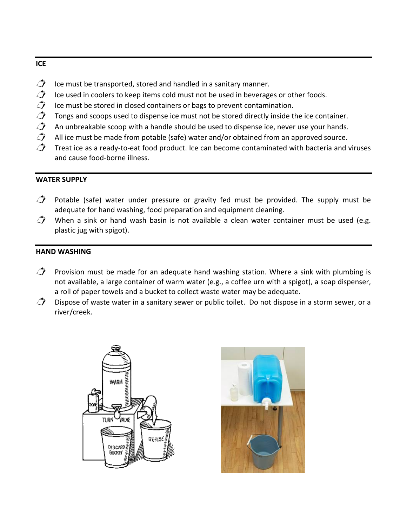#### **ICE**

- $\mathbb{D}$  Ice must be transported, stored and handled in a sanitary manner.
- $\mathcal{L}$  Ice used in coolers to keep items cold must not be used in beverages or other foods.<br> $\mathcal{L}$  Ice must be stored in closed containers or bags to prevent contamination.
- 
- Tongs and scoops used to dispense ice must not be stored directly inside the ice container.
- Ice must be stored in closed containers or bags to prevent contamination.<br>  $\hat{I}$  Tongs and scoops used to dispense ice must not be stored directly inside t<br>  $\hat{I}$  An unbreakable scoop with a handle should be used to d
- An unbreakable scoop with a handle should be used to dispense ice, never use your hands.<br>  $\hat{\mathcal{J}}$  All ice must be made from potable (safe) water and/or obtained from an approved source. All ice must be made from potable (safe) water and/or obtained from an approved source.
- Treat ice as a ready‐to‐eat food product. Ice can become contaminated with bacteria and viruses and cause food‐borne illness.

#### **WATER SUPPLY**

- $\hat{\mathcal{J}}$  Potable (safe) water under pressure or gravity fed must be provided. The supply must be adequate for hand washing, food preparation and equipment cleaning.
- $\hat{\mathcal{J}}$  When a sink or hand wash basin is not available a clean water container must be used (e.g. plastic jug with spigot).

#### **HAND WASHING**

- $\hat{I}$  Provision must be made for an adequate hand washing station. Where a sink with plumbing is not available, a large container of warm water (e.g., a coffee urn with a spigot), a soap dispenser, a roll of paper towels and a bucket to collect waste water may be adequate.
- $\hat{\bigcup}$  Dispose of waste water in a sanitary sewer or public toilet. Do not dispose in a storm sewer, or a river/creek.



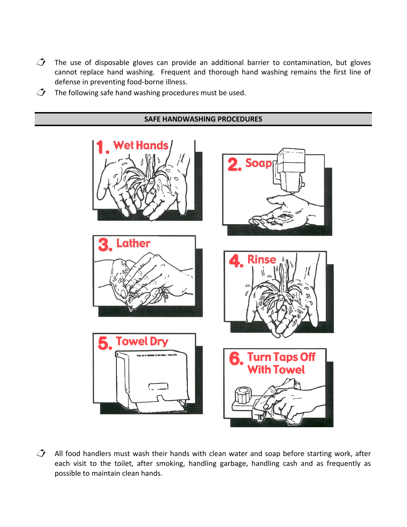- $\hat{C}$  The use of disposable gloves can provide an additional barrier to contamination, but gloves cannot replace hand washing. Frequent and thorough hand washing remains the first line of defense in preventing food‐borne illness.
- $\mathcal{L}$  The following safe hand washing procedures must be used.

#### **SAFE HANDWASHING PROCEDURES**



 $\hat{\mathcal{L}}$  All food handlers must wash their hands with clean water and soap before starting work, after each visit to the toilet, after smoking, handling garbage, handling cash and as frequently as possible to maintain clean hands.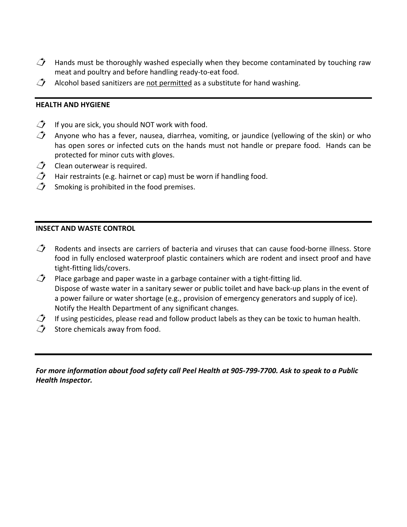- $\hat{J}$  Hands must be thoroughly washed especially when they become contaminated by touching raw meat and poultry and before handling ready‐to‐eat food.
- $\mathcal{L}$  Alcohol based sanitizers are not permitted as a substitute for hand washing.

#### **HEALTH AND HYGIENE**

- $\mathcal{I}$  If you are sick, you should NOT work with food.
- $\hat{\mathcal{J}}$  Anyone who has a fever, nausea, diarrhea, vomiting, or jaundice (yellowing of the skin) or who has open sores or infected cuts on the hands must not handle or prepare food. Hands can be protected for minor cuts with gloves.
- $\mathcal{L}$  Clean outerwear is required.
- $\hat{\mathcal{J}}$  Hair restraints (e.g. hairnet or cap) must be worn if handling food.
- Smoking is prohibited in the food premises.

#### **INSECT AND WASTE CONTROL**

- $\hat{\mathcal{L}}$  Rodents and insects are carriers of bacteria and viruses that can cause food-borne illness. Store food in fully enclosed waterproof plastic containers which are rodent and insect proof and have tight‐fitting lids/covers.
- $\hat{\mathcal{J}}$  Place garbage and paper waste in a garbage container with a tight-fitting lid. Dispose of waste water in a sanitary sewer or public toilet and have back‐up plans in the event of a power failure or water shortage (e.g., provision of emergency generators and supply of ice). Notify the Health Department of any significant changes.
- $\hat{J}$  If using pesticides, please read and follow product labels as they can be toxic to human health.
- $\overrightarrow{C}$  Store chemicals away from food.

For more information about food safety call Peel Health at 905-799-7700. Ask to speak to a Public *Health Inspector.*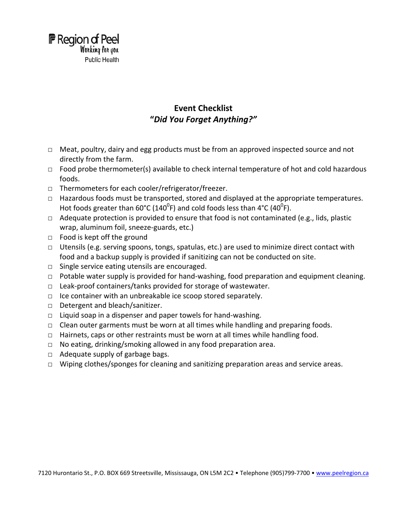

#### **Event Checklist "***Did You Forget Anything?"*

- □ Meat, poultry, dairy and egg products must be from an approved inspected source and not directly from the farm.
- $\Box$  Food probe thermometer(s) available to check internal temperature of hot and cold hazardous foods.
- □ Thermometers for each cooler/refrigerator/freezer.
- □ Hazardous foods must be transported, stored and displayed at the appropriate temperatures. Hot foods greater than 60°C (140<sup>0</sup>F) and cold foods less than 4°C (40<sup>0</sup>F).
- $\Box$  Adequate protection is provided to ensure that food is not contaminated (e.g., lids, plastic wrap, aluminum foil, sneeze‐guards, etc.)
- □ Food is kept off the ground
- $\Box$  Utensils (e.g. serving spoons, tongs, spatulas, etc.) are used to minimize direct contact with food and a backup supply is provided if sanitizing can not be conducted on site.
- $\Box$  Single service eating utensils are encouraged.
- □ Potable water supply is provided for hand-washing, food preparation and equipment cleaning.
- □ Leak‐proof containers/tanks provided for storage of wastewater.
- □ Ice container with an unbreakable ice scoop stored separately.
- □ Detergent and bleach/sanitizer.
- □ Liquid soap in a dispenser and paper towels for hand-washing.
- $\Box$  Clean outer garments must be worn at all times while handling and preparing foods.
- $\Box$  Hairnets, caps or other restraints must be worn at all times while handling food.
- $\Box$  No eating, drinking/smoking allowed in any food preparation area.
- $\Box$  Adequate supply of garbage bags.
- $\Box$  Wiping clothes/sponges for cleaning and sanitizing preparation areas and service areas.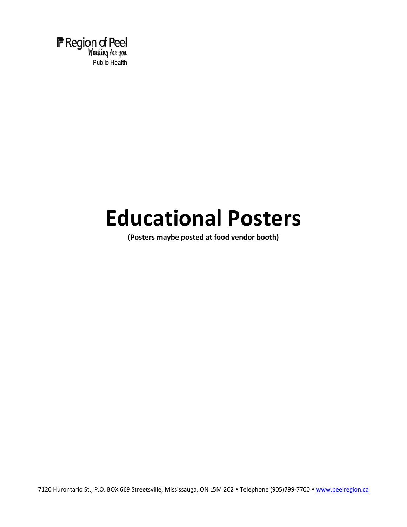

## **Educational Posters**

**(Posters maybe posted at food vendor booth)**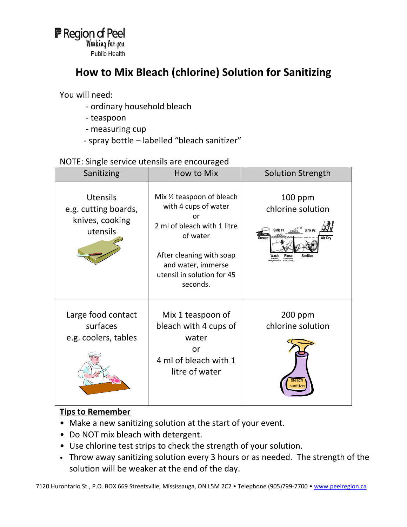## **How to Mix Bleach (chlorine) Solution for Sanitizing**

You will need:

- ‐ ordinary household bleach
- ‐ teaspoon
- ‐ measuring cup
- ‐ spray bottle labelled "bleach sanitizer"

#### NOTE: Single service utensils are encouraged

| Sanitizing                                                             | How to Mix                                                                                                                                                                                      | <b>Solution Strength</b>                                                                                                                                                 |
|------------------------------------------------------------------------|-------------------------------------------------------------------------------------------------------------------------------------------------------------------------------------------------|--------------------------------------------------------------------------------------------------------------------------------------------------------------------------|
| <b>Utensils</b><br>e.g. cutting boards,<br>knives, cooking<br>utensils | Mix 1/2 teaspoon of bleach<br>with 4 cups of water<br>or<br>2 ml of bleach with 1 litre<br>of water<br>After cleaning with soap<br>and water, immerse<br>utensil in solution for 45<br>seconds. | $100$ ppm<br>chlorine solution<br>Sink #1 $\circ$ Sink #2<br>Air Dry<br>Scrape<br>Rinse<br>Sanitize<br>in a clean<br>roent solution<br>in clean water<br>at 43°C (110°F) |
| Large food contact<br>surfaces<br>e.g. coolers, tables                 | Mix 1 teaspoon of<br>bleach with 4 cups of<br>water<br>or<br>4 ml of bleach with 1<br>litre of water                                                                                            | $200$ ppm<br>chlorine solution<br>bleach                                                                                                                                 |

#### **Tips to Remember**

- Make a new sanitizing solution at the start of your event.
- Do NOT mix bleach with detergent.
- Use chlorine test strips to check the strength of your solution.
- Throw away sanitizing solution every 3 hours or as needed. The strength of the solution will be weaker at the end of the day.

7120 Hurontario St., P.O. BOX 669 Streetsville, Mississauga, ON L5M 2C2 • Telephone (905)799-7700 • [www.peelregion.ca](http://www.peelregion.ca/)